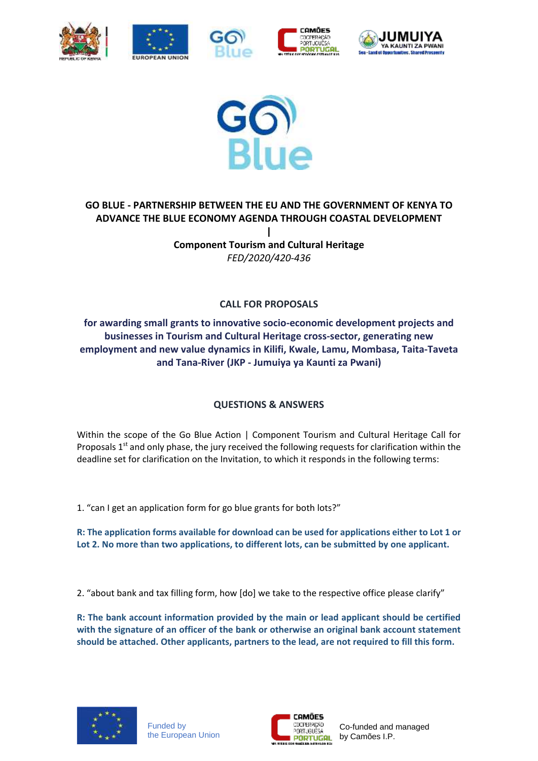











## **GO BLUE - PARTNERSHIP BETWEEN THE EU AND THE GOVERNMENT OF KENYA TO ADVANCE THE BLUE ECONOMY AGENDA THROUGH COASTAL DEVELOPMENT | Component Tourism and Cultural Heritage**

*FED/2020/420-436*

## **CALL FOR PROPOSALS**

## **for awarding small grants to innovative socio-economic development projects and businesses in Tourism and Cultural Heritage cross-sector, generating new employment and new value dynamics in Kilifi, Kwale, Lamu, Mombasa, Taita-Taveta and Tana-River (JKP - Jumuiya ya Kaunti za Pwani)**

## **QUESTIONS & ANSWERS**

Within the scope of the Go Blue Action | Component Tourism and Cultural Heritage Call for Proposals  $1<sup>st</sup>$  and only phase, the jury received the following requests for clarification within the deadline set for clarification on the Invitation, to which it responds in the following terms:

1. "can I get an application form for go blue grants for both lots?"

**R: The application forms available for download can be used for applications either to Lot 1 or Lot 2. No more than two applications, to different lots, can be submitted by one applicant.**

2. "about bank and tax filling form, how [do] we take to the respective office please clarify"

**R: The bank account information provided by the main or lead applicant should be certified with the signature of an officer of the bank or otherwise an original bank account statement should be attached. Other applicants, partners to the lead, are not required to fill this form.**